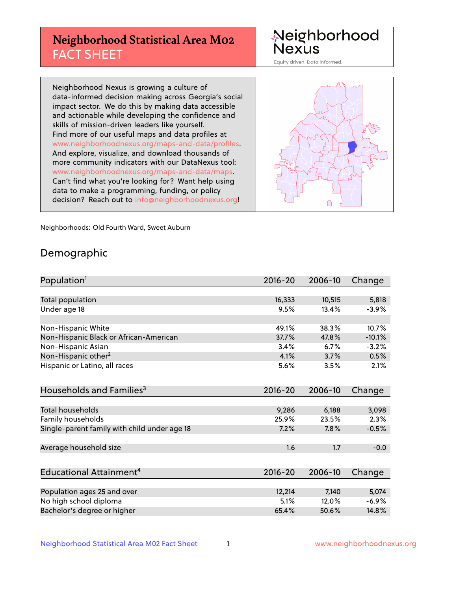# **Neighborhood Statistical Area M02** FACT SHEET

Neighborhood Nexus

Equity driven. Data informed.

Neighborhood Nexus is growing a culture of data-informed decision making across Georgia's social impact sector. We do this by making data accessible and actionable while developing the confidence and skills of mission-driven leaders like yourself. Find more of our useful maps and data profiles at www.neighborhoodnexus.org/maps-and-data/profiles. And explore, visualize, and download thousands of more community indicators with our DataNexus tool: www.neighborhoodnexus.org/maps-and-data/maps. Can't find what you're looking for? Want help using data to make a programming, funding, or policy decision? Reach out to [info@neighborhoodnexus.org!](mailto:info@neighborhoodnexus.org)



Neighborhoods: Old Fourth Ward, Sweet Auburn

### Demographic

| Population <sup>1</sup>                      | $2016 - 20$ | 2006-10 | Change   |
|----------------------------------------------|-------------|---------|----------|
|                                              |             |         |          |
| Total population                             | 16,333      | 10,515  | 5,818    |
| Under age 18                                 | 9.5%        | 13.4%   | $-3.9%$  |
|                                              |             |         |          |
| Non-Hispanic White                           | 49.1%       | 38.3%   | 10.7%    |
| Non-Hispanic Black or African-American       | 37.7%       | 47.8%   | $-10.1%$ |
| Non-Hispanic Asian                           | 3.4%        | 6.7%    | $-3.2%$  |
| Non-Hispanic other <sup>2</sup>              | 4.1%        | 3.7%    | 0.5%     |
| Hispanic or Latino, all races                | 5.6%        | 3.5%    | 2.1%     |
|                                              |             |         |          |
| Households and Families <sup>3</sup>         | $2016 - 20$ | 2006-10 | Change   |
|                                              |             |         |          |
| <b>Total households</b>                      | 9,286       | 6,188   | 3,098    |
| <b>Family households</b>                     | 25.9%       | 23.5%   | 2.3%     |
| Single-parent family with child under age 18 | 7.2%        | 7.8%    | $-0.5%$  |
|                                              |             |         |          |
| Average household size                       | 1.6         | 1.7     | $-0.0$   |
|                                              |             |         |          |
| Educational Attainment <sup>4</sup>          | $2016 - 20$ | 2006-10 | Change   |
|                                              |             |         |          |
| Population ages 25 and over                  | 12,214      | 7,140   | 5,074    |
| No high school diploma                       | 5.1%        | 12.0%   | $-6.9%$  |
| Bachelor's degree or higher                  | 65.4%       | 50.6%   | 14.8%    |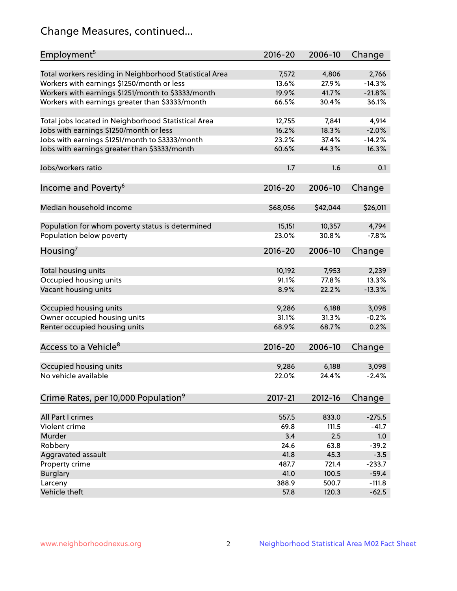# Change Measures, continued...

| Employment <sup>5</sup>                                 | $2016 - 20$ | 2006-10  | Change   |
|---------------------------------------------------------|-------------|----------|----------|
| Total workers residing in Neighborhood Statistical Area | 7,572       | 4,806    | 2,766    |
| Workers with earnings \$1250/month or less              | 13.6%       | 27.9%    | $-14.3%$ |
| Workers with earnings \$1251/month to \$3333/month      | 19.9%       | 41.7%    | $-21.8%$ |
| Workers with earnings greater than \$3333/month         | 66.5%       | 30.4%    | 36.1%    |
|                                                         |             |          |          |
| Total jobs located in Neighborhood Statistical Area     | 12,755      | 7,841    | 4,914    |
| Jobs with earnings \$1250/month or less                 | 16.2%       | 18.3%    | $-2.0%$  |
| Jobs with earnings \$1251/month to \$3333/month         | 23.2%       | 37.4%    | $-14.2%$ |
| Jobs with earnings greater than \$3333/month            | 60.6%       | 44.3%    | 16.3%    |
|                                                         |             |          |          |
| Jobs/workers ratio                                      | 1.7         | 1.6      | 0.1      |
|                                                         |             |          |          |
| Income and Poverty <sup>6</sup>                         | $2016 - 20$ | 2006-10  | Change   |
|                                                         |             |          |          |
| Median household income                                 | \$68,056    | \$42,044 | \$26,011 |
|                                                         |             |          |          |
| Population for whom poverty status is determined        | 15,151      | 10,357   | 4,794    |
| Population below poverty                                | 23.0%       | 30.8%    | $-7.8%$  |
| Housing'                                                | $2016 - 20$ | 2006-10  | Change   |
|                                                         |             |          |          |
| Total housing units                                     | 10,192      | 7,953    | 2,239    |
| Occupied housing units                                  | 91.1%       | 77.8%    | 13.3%    |
| Vacant housing units                                    | 8.9%        | 22.2%    | $-13.3%$ |
|                                                         |             |          |          |
| Occupied housing units                                  | 9,286       | 6,188    | 3,098    |
| Owner occupied housing units                            | 31.1%       | 31.3%    | $-0.2%$  |
| Renter occupied housing units                           | 68.9%       | 68.7%    | 0.2%     |
|                                                         |             |          |          |
| Access to a Vehicle <sup>8</sup>                        | $2016 - 20$ | 2006-10  | Change   |
|                                                         |             |          |          |
| Occupied housing units                                  | 9,286       | 6,188    | 3,098    |
| No vehicle available                                    | 22.0%       | 24.4%    | $-2.4%$  |
|                                                         |             |          |          |
| Crime Rates, per 10,000 Population <sup>9</sup>         | 2017-21     | 2012-16  | Change   |
|                                                         |             |          |          |
| All Part I crimes                                       | 557.5       | 833.0    | $-275.5$ |
| Violent crime                                           | 69.8        | 111.5    | $-41.7$  |
| Murder                                                  | 3.4         | 2.5      | 1.0      |
| Robbery                                                 | 24.6        | 63.8     | $-39.2$  |
| Aggravated assault                                      | 41.8        | 45.3     | $-3.5$   |
| Property crime                                          | 487.7       | 721.4    | $-233.7$ |
| <b>Burglary</b>                                         | 41.0        | 100.5    | $-59.4$  |
| Larceny                                                 | 388.9       | 500.7    | $-111.8$ |
| Vehicle theft                                           | 57.8        | 120.3    | $-62.5$  |
|                                                         |             |          |          |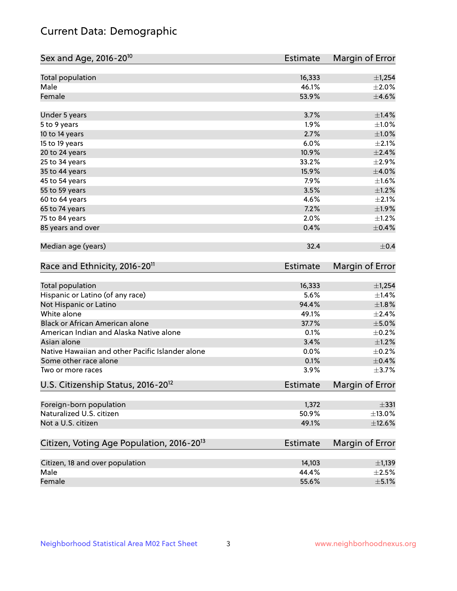# Current Data: Demographic

| Total population<br>16,333<br>±1,254<br>Male<br>46.1%<br>Female<br>53.9%<br>3.7%<br>$\pm$ 1.4%<br>Under 5 years<br>1.9%<br>5 to 9 years<br>2.7%<br>10 to 14 years<br>15 to 19 years<br>6.0%<br>10.9%<br>20 to 24 years<br>33.2%<br>25 to 34 years<br>35 to 44 years<br>15.9%<br>7.9%<br>45 to 54 years<br>3.5%<br>55 to 59 years<br>4.6%<br>60 to 64 years<br>7.2%<br>65 to 74 years<br>2.0%<br>75 to 84 years<br>85 years and over<br>0.4%<br>Median age (years)<br>32.4<br>Race and Ethnicity, 2016-20 <sup>11</sup><br><b>Estimate</b><br><b>Total population</b><br>16,333<br>Hispanic or Latino (of any race)<br>5.6%<br>Not Hispanic or Latino<br>94.4%<br>White alone<br>49.1%<br>Black or African American alone<br>37.7%<br>American Indian and Alaska Native alone<br>0.1%<br>Asian alone<br>3.4%<br>Native Hawaiian and other Pacific Islander alone<br>0.0%<br>0.1%<br>Some other race alone<br>3.9%<br>Two or more races<br>U.S. Citizenship Status, 2016-20 <sup>12</sup><br><b>Estimate</b><br>Foreign-born population<br>1,372<br>Naturalized U.S. citizen<br>50.9%<br>Not a U.S. citizen<br>49.1%<br>Citizen, Voting Age Population, 2016-20 <sup>13</sup><br>Estimate<br>Citizen, 18 and over population<br>14,103<br>Male<br>44.4% | Sex and Age, 2016-20 <sup>10</sup> | <b>Estimate</b> | Margin of Error |
|-------------------------------------------------------------------------------------------------------------------------------------------------------------------------------------------------------------------------------------------------------------------------------------------------------------------------------------------------------------------------------------------------------------------------------------------------------------------------------------------------------------------------------------------------------------------------------------------------------------------------------------------------------------------------------------------------------------------------------------------------------------------------------------------------------------------------------------------------------------------------------------------------------------------------------------------------------------------------------------------------------------------------------------------------------------------------------------------------------------------------------------------------------------------------------------------------------------------------------------------------------|------------------------------------|-----------------|-----------------|
| $\pm 2.0\%$<br>$\pm 4.6\%$<br>$\pm1.0\%$<br>$\pm1.0\%$<br>$\pm 2.1\%$<br>$\pm 2.4\%$<br>$\pm 2.9\%$<br>$\pm 4.0\%$<br>$\pm 1.6\%$<br>$\pm 1.2\%$<br>$\pm 2.1\%$<br>±1.9%<br>$\pm 1.2\%$<br>$\pm$ 0.4%<br>$\pm$ 0.4<br>Margin of Error<br>±1,254<br>±1.4%<br>$\pm1.8\%$<br>±2.4%<br>$\pm$ 5.0%<br>$\pm$ 0.2%<br>$\pm 1.2\%$<br>$\pm$ 0.2%<br>$\pm$ 0.4%<br>$\pm$ 3.7%<br>Margin of Error<br>$\pm$ 331<br>$\pm$ 13.0%<br>$\pm$ 12.6%<br>Margin of Error                                                                                                                                                                                                                                                                                                                                                                                                                                                                                                                                                                                                                                                                                                                                                                                                 |                                    |                 |                 |
|                                                                                                                                                                                                                                                                                                                                                                                                                                                                                                                                                                                                                                                                                                                                                                                                                                                                                                                                                                                                                                                                                                                                                                                                                                                       |                                    |                 |                 |
|                                                                                                                                                                                                                                                                                                                                                                                                                                                                                                                                                                                                                                                                                                                                                                                                                                                                                                                                                                                                                                                                                                                                                                                                                                                       |                                    |                 |                 |
|                                                                                                                                                                                                                                                                                                                                                                                                                                                                                                                                                                                                                                                                                                                                                                                                                                                                                                                                                                                                                                                                                                                                                                                                                                                       |                                    |                 |                 |
|                                                                                                                                                                                                                                                                                                                                                                                                                                                                                                                                                                                                                                                                                                                                                                                                                                                                                                                                                                                                                                                                                                                                                                                                                                                       |                                    |                 |                 |
|                                                                                                                                                                                                                                                                                                                                                                                                                                                                                                                                                                                                                                                                                                                                                                                                                                                                                                                                                                                                                                                                                                                                                                                                                                                       |                                    |                 |                 |
|                                                                                                                                                                                                                                                                                                                                                                                                                                                                                                                                                                                                                                                                                                                                                                                                                                                                                                                                                                                                                                                                                                                                                                                                                                                       |                                    |                 |                 |
|                                                                                                                                                                                                                                                                                                                                                                                                                                                                                                                                                                                                                                                                                                                                                                                                                                                                                                                                                                                                                                                                                                                                                                                                                                                       |                                    |                 |                 |
|                                                                                                                                                                                                                                                                                                                                                                                                                                                                                                                                                                                                                                                                                                                                                                                                                                                                                                                                                                                                                                                                                                                                                                                                                                                       |                                    |                 |                 |
|                                                                                                                                                                                                                                                                                                                                                                                                                                                                                                                                                                                                                                                                                                                                                                                                                                                                                                                                                                                                                                                                                                                                                                                                                                                       |                                    |                 |                 |
|                                                                                                                                                                                                                                                                                                                                                                                                                                                                                                                                                                                                                                                                                                                                                                                                                                                                                                                                                                                                                                                                                                                                                                                                                                                       |                                    |                 |                 |
|                                                                                                                                                                                                                                                                                                                                                                                                                                                                                                                                                                                                                                                                                                                                                                                                                                                                                                                                                                                                                                                                                                                                                                                                                                                       |                                    |                 |                 |
|                                                                                                                                                                                                                                                                                                                                                                                                                                                                                                                                                                                                                                                                                                                                                                                                                                                                                                                                                                                                                                                                                                                                                                                                                                                       |                                    |                 |                 |
|                                                                                                                                                                                                                                                                                                                                                                                                                                                                                                                                                                                                                                                                                                                                                                                                                                                                                                                                                                                                                                                                                                                                                                                                                                                       |                                    |                 |                 |
|                                                                                                                                                                                                                                                                                                                                                                                                                                                                                                                                                                                                                                                                                                                                                                                                                                                                                                                                                                                                                                                                                                                                                                                                                                                       |                                    |                 |                 |
|                                                                                                                                                                                                                                                                                                                                                                                                                                                                                                                                                                                                                                                                                                                                                                                                                                                                                                                                                                                                                                                                                                                                                                                                                                                       |                                    |                 |                 |
|                                                                                                                                                                                                                                                                                                                                                                                                                                                                                                                                                                                                                                                                                                                                                                                                                                                                                                                                                                                                                                                                                                                                                                                                                                                       |                                    |                 |                 |
|                                                                                                                                                                                                                                                                                                                                                                                                                                                                                                                                                                                                                                                                                                                                                                                                                                                                                                                                                                                                                                                                                                                                                                                                                                                       |                                    |                 |                 |
|                                                                                                                                                                                                                                                                                                                                                                                                                                                                                                                                                                                                                                                                                                                                                                                                                                                                                                                                                                                                                                                                                                                                                                                                                                                       |                                    |                 |                 |
|                                                                                                                                                                                                                                                                                                                                                                                                                                                                                                                                                                                                                                                                                                                                                                                                                                                                                                                                                                                                                                                                                                                                                                                                                                                       |                                    |                 |                 |
|                                                                                                                                                                                                                                                                                                                                                                                                                                                                                                                                                                                                                                                                                                                                                                                                                                                                                                                                                                                                                                                                                                                                                                                                                                                       |                                    |                 |                 |
|                                                                                                                                                                                                                                                                                                                                                                                                                                                                                                                                                                                                                                                                                                                                                                                                                                                                                                                                                                                                                                                                                                                                                                                                                                                       |                                    |                 |                 |
|                                                                                                                                                                                                                                                                                                                                                                                                                                                                                                                                                                                                                                                                                                                                                                                                                                                                                                                                                                                                                                                                                                                                                                                                                                                       |                                    |                 |                 |
|                                                                                                                                                                                                                                                                                                                                                                                                                                                                                                                                                                                                                                                                                                                                                                                                                                                                                                                                                                                                                                                                                                                                                                                                                                                       |                                    |                 |                 |
|                                                                                                                                                                                                                                                                                                                                                                                                                                                                                                                                                                                                                                                                                                                                                                                                                                                                                                                                                                                                                                                                                                                                                                                                                                                       |                                    |                 |                 |
|                                                                                                                                                                                                                                                                                                                                                                                                                                                                                                                                                                                                                                                                                                                                                                                                                                                                                                                                                                                                                                                                                                                                                                                                                                                       |                                    |                 |                 |
|                                                                                                                                                                                                                                                                                                                                                                                                                                                                                                                                                                                                                                                                                                                                                                                                                                                                                                                                                                                                                                                                                                                                                                                                                                                       |                                    |                 |                 |
|                                                                                                                                                                                                                                                                                                                                                                                                                                                                                                                                                                                                                                                                                                                                                                                                                                                                                                                                                                                                                                                                                                                                                                                                                                                       |                                    |                 |                 |
|                                                                                                                                                                                                                                                                                                                                                                                                                                                                                                                                                                                                                                                                                                                                                                                                                                                                                                                                                                                                                                                                                                                                                                                                                                                       |                                    |                 |                 |
|                                                                                                                                                                                                                                                                                                                                                                                                                                                                                                                                                                                                                                                                                                                                                                                                                                                                                                                                                                                                                                                                                                                                                                                                                                                       |                                    |                 |                 |
|                                                                                                                                                                                                                                                                                                                                                                                                                                                                                                                                                                                                                                                                                                                                                                                                                                                                                                                                                                                                                                                                                                                                                                                                                                                       |                                    |                 |                 |
|                                                                                                                                                                                                                                                                                                                                                                                                                                                                                                                                                                                                                                                                                                                                                                                                                                                                                                                                                                                                                                                                                                                                                                                                                                                       |                                    |                 |                 |
| $\pm$ 1,139<br>$\pm 2.5\%$                                                                                                                                                                                                                                                                                                                                                                                                                                                                                                                                                                                                                                                                                                                                                                                                                                                                                                                                                                                                                                                                                                                                                                                                                            |                                    |                 |                 |
|                                                                                                                                                                                                                                                                                                                                                                                                                                                                                                                                                                                                                                                                                                                                                                                                                                                                                                                                                                                                                                                                                                                                                                                                                                                       |                                    |                 |                 |
|                                                                                                                                                                                                                                                                                                                                                                                                                                                                                                                                                                                                                                                                                                                                                                                                                                                                                                                                                                                                                                                                                                                                                                                                                                                       |                                    |                 |                 |
| $\pm$ 5.1%                                                                                                                                                                                                                                                                                                                                                                                                                                                                                                                                                                                                                                                                                                                                                                                                                                                                                                                                                                                                                                                                                                                                                                                                                                            | Female                             | 55.6%           |                 |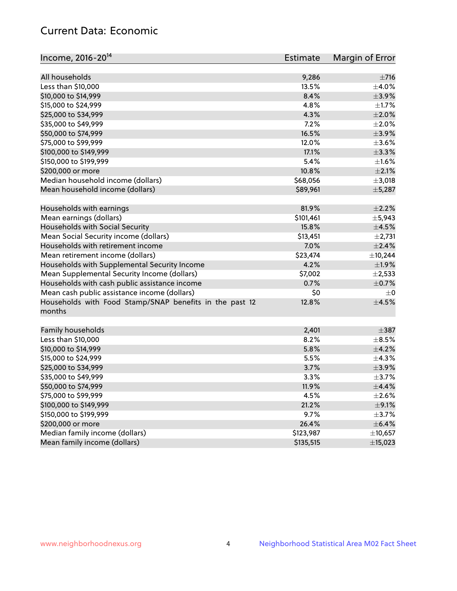# Current Data: Economic

| Income, 2016-20 <sup>14</sup>                                     | <b>Estimate</b> | Margin of Error |
|-------------------------------------------------------------------|-----------------|-----------------|
| All households                                                    | 9,286           | $\pm 716$       |
| Less than \$10,000                                                | 13.5%           | $\pm$ 4.0%      |
| \$10,000 to \$14,999                                              | 8.4%            | $\pm$ 3.9%      |
| \$15,000 to \$24,999                                              | 4.8%            | $\pm 1.7\%$     |
| \$25,000 to \$34,999                                              | 4.3%            | $\pm 2.0\%$     |
|                                                                   |                 |                 |
| \$35,000 to \$49,999                                              | 7.2%<br>16.5%   | $\pm 2.0\%$     |
| \$50,000 to \$74,999                                              |                 | $\pm$ 3.9%      |
| \$75,000 to \$99,999                                              | 12.0%           | $\pm 3.6\%$     |
| \$100,000 to \$149,999                                            | 17.1%           | ±3.3%           |
| \$150,000 to \$199,999                                            | 5.4%            | $\pm 1.6\%$     |
| \$200,000 or more                                                 | 10.8%           | $\pm 2.1\%$     |
| Median household income (dollars)                                 | \$68,056        | $\pm$ 3,018     |
| Mean household income (dollars)                                   | \$89,961        | ±5,287          |
| Households with earnings                                          | 81.9%           | $\pm 2.2\%$     |
| Mean earnings (dollars)                                           | \$101,461       | ±5,943          |
| Households with Social Security                                   | 15.8%           | $\pm$ 4.5%      |
| Mean Social Security income (dollars)                             | \$13,451        | $\pm 2,731$     |
| Households with retirement income                                 | 7.0%            | $\pm 2.4\%$     |
| Mean retirement income (dollars)                                  | \$23,474        | ±10,244         |
| Households with Supplemental Security Income                      | 4.2%            | ±1.9%           |
| Mean Supplemental Security Income (dollars)                       | \$7,002         | $\pm 2,533$     |
| Households with cash public assistance income                     | 0.7%            | $\pm$ 0.7%      |
| Mean cash public assistance income (dollars)                      | \$0             | $\pm 0$         |
| Households with Food Stamp/SNAP benefits in the past 12<br>months | 12.8%           | $\pm 4.5\%$     |
| Family households                                                 | 2,401           | $\pm$ 387       |
| Less than \$10,000                                                | 8.2%            | $\pm$ 8.5%      |
| \$10,000 to \$14,999                                              | 5.8%            | ±4.2%           |
| \$15,000 to \$24,999                                              | 5.5%            | $\pm$ 4.3%      |
| \$25,000 to \$34,999                                              | 3.7%            | $\pm$ 3.9%      |
| \$35,000 to \$49,999                                              | 3.3%            | $\pm$ 3.7%      |
| \$50,000 to \$74,999                                              | 11.9%           | $\pm$ 4.4%      |
| \$75,000 to \$99,999                                              | 4.5%            | $\pm 2.6\%$     |
| \$100,000 to \$149,999                                            | 21.2%           | $\pm$ 9.1%      |
| \$150,000 to \$199,999                                            |                 | $\pm$ 3.7%      |
|                                                                   | 9.7%            |                 |
| \$200,000 or more                                                 | 26.4%           | $\pm$ 6.4%      |
| Median family income (dollars)<br>Mean family income (dollars)    | \$123,987       | ±10,657         |
|                                                                   | \$135,515       | ±15,023         |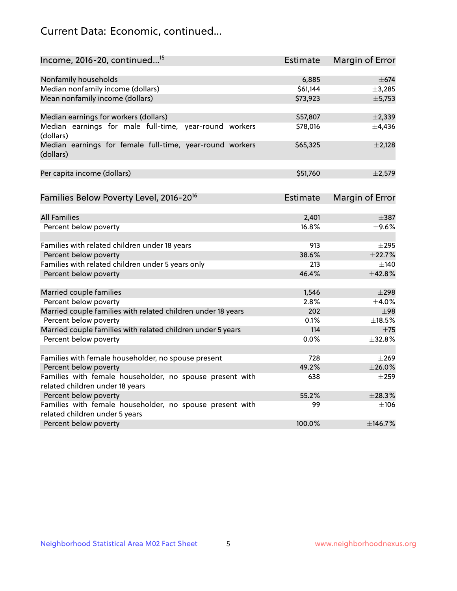# Current Data: Economic, continued...

| Income, 2016-20, continued <sup>15</sup>                                                   | <b>Estimate</b> | Margin of Error        |
|--------------------------------------------------------------------------------------------|-----------------|------------------------|
|                                                                                            |                 |                        |
| Nonfamily households                                                                       | 6,885           | $\pm$ 674              |
| Median nonfamily income (dollars)                                                          | \$61,144        | ±3,285                 |
| Mean nonfamily income (dollars)                                                            | \$73,923        | ±5,753                 |
| Median earnings for workers (dollars)                                                      | \$57,807        | ±2,339                 |
| Median earnings for male full-time, year-round workers<br>(dollars)                        | \$78,016        | $\pm$ 4,436            |
| Median earnings for female full-time, year-round workers<br>(dollars)                      | \$65,325        | $\pm 2,128$            |
| Per capita income (dollars)                                                                | \$51,760        | $\pm 2,579$            |
| Families Below Poverty Level, 2016-20 <sup>16</sup>                                        | <b>Estimate</b> | <b>Margin of Error</b> |
|                                                                                            |                 |                        |
| <b>All Families</b>                                                                        | 2,401           | $\pm$ 387              |
| Percent below poverty                                                                      | 16.8%           | $\pm$ 9.6%             |
| Families with related children under 18 years                                              | 913             | $\pm 295$              |
| Percent below poverty                                                                      | 38.6%           | ±22.7%                 |
| Families with related children under 5 years only                                          | 213             | $\pm$ 140              |
| Percent below poverty                                                                      | 46.4%           | ±42.8%                 |
| Married couple families                                                                    | 1,546           | $\pm 298$              |
| Percent below poverty                                                                      | 2.8%            | $\pm$ 4.0%             |
| Married couple families with related children under 18 years                               | 202             | ±98                    |
| Percent below poverty                                                                      | 0.1%            | ±18.5%                 |
| Married couple families with related children under 5 years                                | 114             | $\pm 75$               |
| Percent below poverty                                                                      | $0.0\%$         | $\pm$ 32.8%            |
|                                                                                            |                 |                        |
| Families with female householder, no spouse present                                        | 728             | $\pm 269$              |
| Percent below poverty                                                                      | 49.2%           | ±26.0%                 |
| Families with female householder, no spouse present with                                   | 638             | $\pm 259$              |
| related children under 18 years                                                            |                 |                        |
| Percent below poverty                                                                      | 55.2%           | ±28.3%                 |
| Families with female householder, no spouse present with<br>related children under 5 years | 99              | $\pm$ 106              |
| Percent below poverty                                                                      | 100.0%          | ±146.7%                |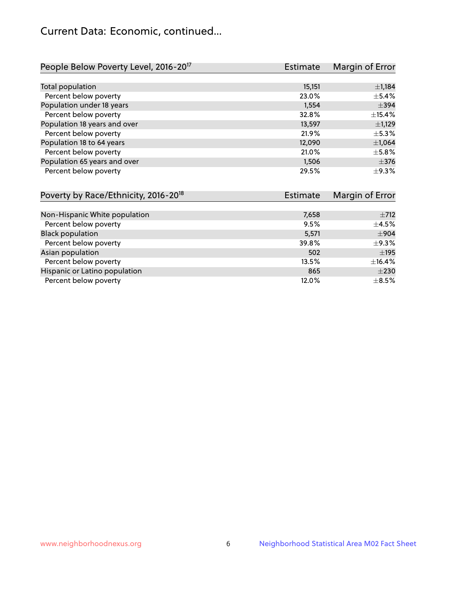# Current Data: Economic, continued...

| People Below Poverty Level, 2016-20 <sup>17</sup> | <b>Estimate</b>       | Margin of Error |
|---------------------------------------------------|-----------------------|-----------------|
|                                                   |                       |                 |
| Total population                                  | 15,151                | $\pm$ 1,184     |
| Percent below poverty                             | 23.0%                 | $\pm$ 5.4%      |
| Population under 18 years                         | 1,554                 | $\pm$ 394       |
| Percent below poverty                             | 32.8%                 | ±15.4%          |
| Population 18 years and over                      | 13,597                | $\pm$ 1,129     |
| Percent below poverty                             | 21.9%                 | $\pm$ 5.3%      |
| Population 18 to 64 years                         | 12,090                | $\pm$ 1,064     |
| Percent below poverty                             | 21.0%                 | $\pm$ 5.8%      |
| Population 65 years and over                      | 1,506                 | $\pm$ 376       |
| Percent below poverty                             | 29.5%                 | $\pm$ 9.3%      |
| Poverty by Race/Ethnicity 2016-20 <sup>18</sup>   | م <del>اد Fetim</del> | Margin of Error |

| TOVERY DY RACE/LUTTICILY, 2010-20 | LSUIIIQUE | <b>IVIALYILL VI LILVI</b> |
|-----------------------------------|-----------|---------------------------|
|                                   |           |                           |
| Non-Hispanic White population     | 7,658     | $\pm 712$                 |
| Percent below poverty             | 9.5%      | $\pm 4.5\%$               |
| <b>Black population</b>           | 5,571     | $\pm$ 904                 |
| Percent below poverty             | 39.8%     | $\pm$ 9.3%                |
| Asian population                  | 502       | $\pm$ 195                 |
| Percent below poverty             | 13.5%     | $\pm$ 16.4%               |
| Hispanic or Latino population     | 865       | $\pm 230$                 |
| Percent below poverty             | 12.0%     | $\pm$ 8.5%                |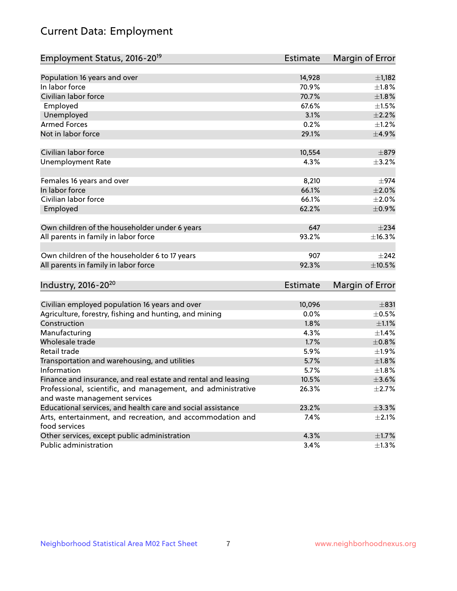# Current Data: Employment

| Employment Status, 2016-20 <sup>19</sup>                      | Estimate        | Margin of Error |
|---------------------------------------------------------------|-----------------|-----------------|
|                                                               |                 |                 |
| Population 16 years and over                                  | 14,928          | $\pm$ 1,182     |
| In labor force                                                | 70.9%           | $\pm1.8\%$      |
| Civilian labor force                                          | 70.7%           | $\pm1.8\%$      |
| Employed                                                      | 67.6%           | $\pm1.5\%$      |
| Unemployed                                                    | 3.1%            | $\pm 2.2\%$     |
| <b>Armed Forces</b>                                           | 0.2%            | $\pm 1.2\%$     |
| Not in labor force                                            | 29.1%           | $\pm$ 4.9%      |
| Civilian labor force                                          | 10,554          | $\pm$ 879       |
| <b>Unemployment Rate</b>                                      | 4.3%            | $\pm$ 3.2%      |
|                                                               |                 |                 |
| Females 16 years and over                                     | 8,210           | $\pm$ 974       |
| In labor force                                                | 66.1%           | $\pm 2.0\%$     |
| Civilian labor force                                          | 66.1%           | $\pm 2.0\%$     |
| Employed                                                      | 62.2%           | $\pm$ 0.9%      |
| Own children of the householder under 6 years                 | 647             | $\pm 234$       |
| All parents in family in labor force                          | 93.2%           | ±16.3%          |
| Own children of the householder 6 to 17 years                 | 907             | $\pm 242$       |
| All parents in family in labor force                          | 92.3%           | $\pm 10.5\%$    |
| Industry, 2016-20 <sup>20</sup>                               | <b>Estimate</b> | Margin of Error |
|                                                               |                 |                 |
| Civilian employed population 16 years and over                | 10,096          | ±831            |
| Agriculture, forestry, fishing and hunting, and mining        | 0.0%            | $\pm$ 0.5%      |
| Construction                                                  | 1.8%            | $\pm 1.1\%$     |
| Manufacturing                                                 | 4.3%            | $\pm$ 1.4%      |
| Wholesale trade                                               | 1.7%            | $\pm 0.8\%$     |
| Retail trade                                                  | 5.9%            | ±1.9%           |
| Transportation and warehousing, and utilities                 | 5.7%            | $\pm 1.8\%$     |
| Information                                                   | 5.7%            | $\pm1.8\%$      |
| Finance and insurance, and real estate and rental and leasing | 10.5%           | $\pm 3.6\%$     |
| Professional, scientific, and management, and administrative  | 26.3%           | $\pm 2.7\%$     |
| and waste management services                                 |                 |                 |
| Educational services, and health care and social assistance   | 23.2%           | ±3.3%           |
| Arts, entertainment, and recreation, and accommodation and    | 7.4%            | $\pm 2.1\%$     |
| food services                                                 |                 |                 |
| Other services, except public administration                  | 4.3%            | $\pm$ 1.7%      |
| Public administration                                         | 3.4%            | $\pm 1.3\%$     |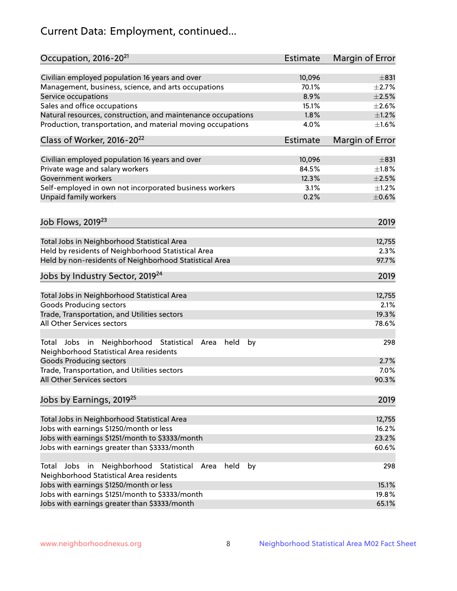# Current Data: Employment, continued...

| Occupation, 2016-20 <sup>21</sup>                                                                       | Estimate        | Margin of Error |
|---------------------------------------------------------------------------------------------------------|-----------------|-----------------|
| Civilian employed population 16 years and over                                                          | 10,096          | $\pm$ 831       |
| Management, business, science, and arts occupations                                                     | 70.1%           | $\pm 2.7\%$     |
| Service occupations                                                                                     | 8.9%            | $\pm 2.5\%$     |
| Sales and office occupations                                                                            | 15.1%           | $\pm 2.6\%$     |
| Natural resources, construction, and maintenance occupations                                            | 1.8%            | $\pm 1.2\%$     |
| Production, transportation, and material moving occupations                                             | 4.0%            | $\pm1.6\%$      |
| Class of Worker, 2016-20 <sup>22</sup>                                                                  | <b>Estimate</b> | Margin of Error |
| Civilian employed population 16 years and over                                                          | 10,096          | $\pm$ 831       |
| Private wage and salary workers                                                                         | 84.5%           | $\pm 1.8\%$     |
| Government workers                                                                                      | 12.3%           | $\pm 2.5\%$     |
| Self-employed in own not incorporated business workers                                                  | 3.1%            | $\pm 1.2\%$     |
| Unpaid family workers                                                                                   | 0.2%            | $\pm$ 0.6%      |
|                                                                                                         |                 |                 |
| Job Flows, 2019 <sup>23</sup>                                                                           |                 | 2019            |
| Total Jobs in Neighborhood Statistical Area                                                             |                 | 12,755          |
| Held by residents of Neighborhood Statistical Area                                                      |                 | 2.3%            |
| Held by non-residents of Neighborhood Statistical Area                                                  |                 | 97.7%           |
| Jobs by Industry Sector, 2019 <sup>24</sup>                                                             |                 | 2019            |
| Total Jobs in Neighborhood Statistical Area                                                             |                 | 12,755          |
| <b>Goods Producing sectors</b>                                                                          |                 | 2.1%            |
| Trade, Transportation, and Utilities sectors                                                            |                 | 19.3%           |
| All Other Services sectors                                                                              |                 | 78.6%           |
| Total Jobs in Neighborhood Statistical<br>held<br>by<br>Area<br>Neighborhood Statistical Area residents |                 | 298             |
| <b>Goods Producing sectors</b>                                                                          |                 | 2.7%            |
| Trade, Transportation, and Utilities sectors                                                            |                 | 7.0%            |
| All Other Services sectors                                                                              |                 | 90.3%           |
| Jobs by Earnings, 2019 <sup>25</sup>                                                                    |                 | 2019            |
| Total Jobs in Neighborhood Statistical Area                                                             |                 | 12,755          |
| Jobs with earnings \$1250/month or less                                                                 |                 | 16.2%           |
| Jobs with earnings \$1251/month to \$3333/month                                                         |                 | 23.2%           |
| Jobs with earnings greater than \$3333/month                                                            |                 | 60.6%           |
| Neighborhood Statistical<br>Jobs<br>in<br>held<br>by<br>Total<br>Area                                   |                 | 298             |
| Neighborhood Statistical Area residents                                                                 |                 |                 |
| Jobs with earnings \$1250/month or less                                                                 |                 | 15.1%           |
| Jobs with earnings \$1251/month to \$3333/month                                                         |                 | 19.8%           |
| Jobs with earnings greater than \$3333/month                                                            |                 | 65.1%           |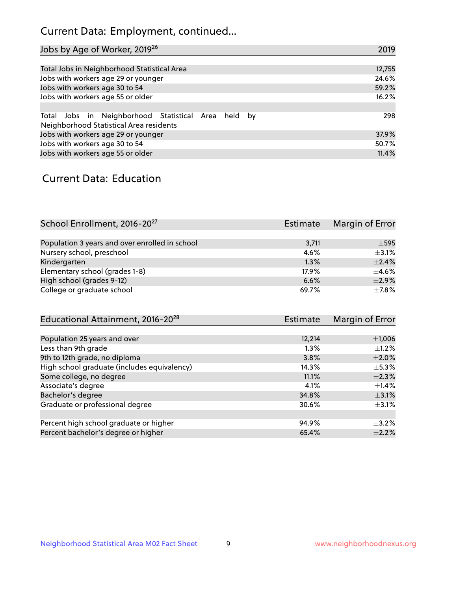# Current Data: Employment, continued...

| Jobs by Age of Worker, 2019 <sup>26</sup>                                                      | 2019   |
|------------------------------------------------------------------------------------------------|--------|
|                                                                                                |        |
| Total Jobs in Neighborhood Statistical Area                                                    | 12,755 |
| Jobs with workers age 29 or younger                                                            | 24.6%  |
| Jobs with workers age 30 to 54                                                                 | 59.2%  |
| Jobs with workers age 55 or older                                                              | 16.2%  |
|                                                                                                |        |
| Total Jobs in Neighborhood Statistical Area held by<br>Neighborhood Statistical Area residents | 298    |
| Jobs with workers age 29 or younger                                                            | 37.9%  |
| Jobs with workers age 30 to 54                                                                 | 50.7%  |
| Jobs with workers age 55 or older                                                              | 11.4%  |

### Current Data: Education

| School Enrollment, 2016-20 <sup>27</sup>       | <b>Estimate</b> | Margin of Error |
|------------------------------------------------|-----------------|-----------------|
|                                                |                 |                 |
| Population 3 years and over enrolled in school | 3,711           | $\pm$ 595       |
| Nursery school, preschool                      | 4.6%            | $+3.1%$         |
| Kindergarten                                   | $1.3\%$         | $\pm$ 2.4%      |
| Elementary school (grades 1-8)                 | 17.9%           | $+4.6%$         |
| High school (grades 9-12)                      | 6.6%            | $\pm$ 2.9%      |
| College or graduate school                     | 69.7%           | $\pm$ 7.8%      |

| Educational Attainment, 2016-20 <sup>28</sup> | Estimate | Margin of Error |
|-----------------------------------------------|----------|-----------------|
|                                               |          |                 |
| Population 25 years and over                  | 12,214   | $\pm$ 1,006     |
| Less than 9th grade                           | 1.3%     | $\pm 1.2\%$     |
| 9th to 12th grade, no diploma                 | 3.8%     | $\pm 2.0\%$     |
| High school graduate (includes equivalency)   | 14.3%    | $\pm$ 5.3%      |
| Some college, no degree                       | 11.1%    | $\pm 2.3\%$     |
| Associate's degree                            | 4.1%     | $\pm$ 1.4%      |
| Bachelor's degree                             | 34.8%    | $\pm$ 3.1%      |
| Graduate or professional degree               | 30.6%    | $\pm$ 3.1%      |
|                                               |          |                 |
| Percent high school graduate or higher        | 94.9%    | $+3.2%$         |
| Percent bachelor's degree or higher           | 65.4%    | $\pm 2.2\%$     |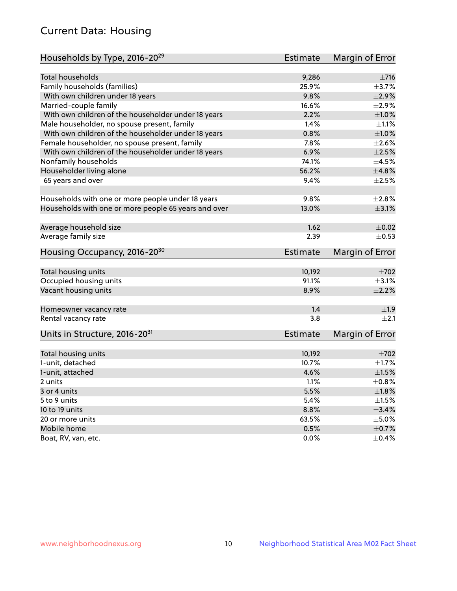# Current Data: Housing

| Households by Type, 2016-20 <sup>29</sup>            | <b>Estimate</b> | Margin of Error |
|------------------------------------------------------|-----------------|-----------------|
|                                                      |                 |                 |
| <b>Total households</b>                              | 9,286           | ±716            |
| Family households (families)                         | 25.9%           | $\pm$ 3.7%      |
| With own children under 18 years                     | 9.8%            | $\pm 2.9\%$     |
| Married-couple family                                | 16.6%           | ±2.9%           |
| With own children of the householder under 18 years  | 2.2%            | $\pm1.0\%$      |
| Male householder, no spouse present, family          | 1.4%            | $\pm 1.1\%$     |
| With own children of the householder under 18 years  | 0.8%            | ±1.0%           |
| Female householder, no spouse present, family        | 7.8%            | $\pm 2.6\%$     |
| With own children of the householder under 18 years  | 6.9%            | $\pm 2.5\%$     |
| Nonfamily households                                 | 74.1%           | $\pm 4.5\%$     |
| Householder living alone                             | 56.2%           | ±4.8%           |
| 65 years and over                                    | 9.4%            | $\pm 2.5\%$     |
|                                                      |                 |                 |
| Households with one or more people under 18 years    | 9.8%            | $\pm 2.8\%$     |
| Households with one or more people 65 years and over | 13.0%           | $\pm 3.1\%$     |
| Average household size                               | 1.62            | $\pm$ 0.02      |
| Average family size                                  | 2.39            | $\pm$ 0.53      |
|                                                      |                 |                 |
| Housing Occupancy, 2016-20 <sup>30</sup>             | <b>Estimate</b> | Margin of Error |
| Total housing units                                  | 10,192          | $\pm 702$       |
| Occupied housing units                               | 91.1%           | $\pm$ 3.1%      |
| Vacant housing units                                 | 8.9%            | $\pm 2.2\%$     |
|                                                      |                 |                 |
| Homeowner vacancy rate                               | 1.4             | ±1.9            |
| Rental vacancy rate                                  | 3.8             | $\pm 2.1$       |
| Units in Structure, 2016-20 <sup>31</sup>            | <b>Estimate</b> | Margin of Error |
| Total housing units                                  | 10,192          | $\pm 702$       |
| 1-unit, detached                                     | 10.7%           | $\pm$ 1.7%      |
| 1-unit, attached                                     | 4.6%            | $\pm1.5\%$      |
| 2 units                                              | 1.1%            | $\pm$ 0.8%      |
| 3 or 4 units                                         | 5.5%            | ±1.8%           |
|                                                      | 5.4%            | $\pm 1.5\%$     |
| 5 to 9 units<br>10 to 19 units                       | 8.8%            | $\pm$ 3.4%      |
|                                                      |                 |                 |
| 20 or more units                                     | 63.5%           | $\pm$ 5.0%      |
| Mobile home                                          | 0.5%            | $\pm$ 0.7%      |
| Boat, RV, van, etc.                                  | $0.0\%$         | $\pm$ 0.4%      |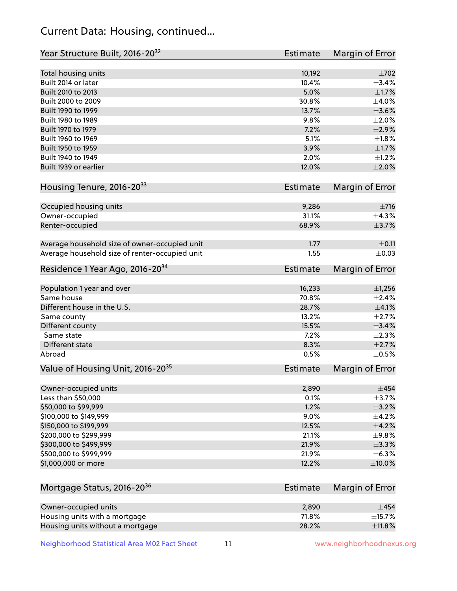# Current Data: Housing, continued...

| Year Structure Built, 2016-20 <sup>32</sup>    | <b>Estimate</b> | Margin of Error |
|------------------------------------------------|-----------------|-----------------|
| Total housing units                            | 10,192          | $\pm 702$       |
| Built 2014 or later                            | 10.4%           | ±3.4%           |
| Built 2010 to 2013                             | 5.0%            | $\pm1.7\%$      |
| Built 2000 to 2009                             | 30.8%           | $\pm$ 4.0%      |
| Built 1990 to 1999                             | 13.7%           | $\pm 3.6\%$     |
| Built 1980 to 1989                             | 9.8%            | $\pm 2.0\%$     |
| Built 1970 to 1979                             | 7.2%            | $\pm 2.9\%$     |
| Built 1960 to 1969                             | 5.1%            | $\pm1.8\%$      |
| Built 1950 to 1959                             | 3.9%            | $\pm1.7\%$      |
| Built 1940 to 1949                             | 2.0%            | $\pm 1.2\%$     |
| Built 1939 or earlier                          | 12.0%           | $\pm 2.0\%$     |
| Housing Tenure, 2016-2033                      | <b>Estimate</b> | Margin of Error |
| Occupied housing units                         | 9,286           | $\pm 716$       |
| Owner-occupied                                 | 31.1%           | ±4.3%           |
| Renter-occupied                                | 68.9%           | $\pm$ 3.7%      |
| Average household size of owner-occupied unit  | 1.77            | $\pm$ 0.11      |
| Average household size of renter-occupied unit | 1.55            | $\pm$ 0.03      |
| Residence 1 Year Ago, 2016-20 <sup>34</sup>    | <b>Estimate</b> | Margin of Error |
| Population 1 year and over                     | 16,233          | $\pm$ 1,256     |
| Same house                                     | 70.8%           | $\pm 2.4\%$     |
| Different house in the U.S.                    | 28.7%           | $\pm 4.1\%$     |
| Same county                                    | 13.2%           | $\pm 2.7\%$     |
| Different county                               | 15.5%           | $\pm$ 3.4%      |
| Same state                                     | 7.2%            | $\pm 2.3\%$     |
| Different state                                | 8.3%            | $\pm 2.7\%$     |
| Abroad                                         | 0.5%            | $\pm$ 0.5%      |
| Value of Housing Unit, 2016-20 <sup>35</sup>   | <b>Estimate</b> | Margin of Error |
| Owner-occupied units                           | 2,890           | $\pm$ 454       |
| Less than \$50,000                             | 0.1%            | $\pm$ 3.7%      |
| \$50,000 to \$99,999                           | 1.2%            | $\pm$ 3.2%      |
| \$100,000 to \$149,999                         | 9.0%            | $\pm$ 4.2%      |
| \$150,000 to \$199,999                         | 12.5%           | $\pm$ 4.2%      |
| \$200,000 to \$299,999                         | 21.1%           | ±9.8%           |
| \$300,000 to \$499,999                         | 21.9%           | $\pm$ 3.3%      |
| \$500,000 to \$999,999                         | 21.9%           | $\pm$ 6.3%      |
| \$1,000,000 or more                            | 12.2%           | $\pm 10.0\%$    |
| Mortgage Status, 2016-20 <sup>36</sup>         | <b>Estimate</b> | Margin of Error |
|                                                |                 |                 |
| Owner-occupied units                           | 2,890           | $\pm$ 454       |
| Housing units with a mortgage                  | 71.8%           | $\pm$ 15.7%     |
| Housing units without a mortgage               | 28.2%           | ±11.8%          |

Neighborhood Statistical Area M02 Fact Sheet 11 11 www.neighborhoodnexus.org

Housing units without a mortgage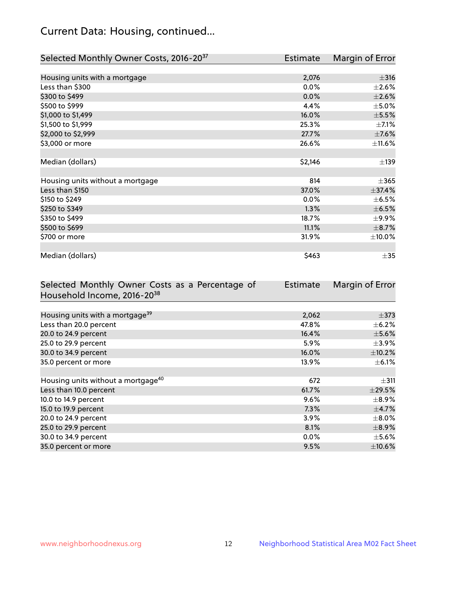# Current Data: Housing, continued...

| Selected Monthly Owner Costs, 2016-20 <sup>37</sup> | Estimate | Margin of Error |
|-----------------------------------------------------|----------|-----------------|
|                                                     |          |                 |
| Housing units with a mortgage                       | 2,076    | $\pm$ 316       |
| Less than \$300                                     | 0.0%     | $\pm 2.6\%$     |
| \$300 to \$499                                      | $0.0\%$  | $\pm 2.6\%$     |
| \$500 to \$999                                      | 4.4%     | $\pm$ 5.0%      |
| \$1,000 to \$1,499                                  | 16.0%    | $\pm$ 5.5%      |
| \$1,500 to \$1,999                                  | 25.3%    | $\pm$ 7.1%      |
| \$2,000 to \$2,999                                  | 27.7%    | $\pm$ 7.6%      |
| \$3,000 or more                                     | 26.6%    | $\pm$ 11.6%     |
|                                                     |          |                 |
| Median (dollars)                                    | \$2,146  | ±139            |
|                                                     |          |                 |
| Housing units without a mortgage                    | 814      | $\pm$ 365       |
| Less than \$150                                     | 37.0%    | ±37.4%          |
| \$150 to \$249                                      | $0.0\%$  | $\pm$ 6.5%      |
| \$250 to \$349                                      | 1.3%     | $\pm$ 6.5%      |
| \$350 to \$499                                      | 18.7%    | $\pm$ 9.9%      |
| \$500 to \$699                                      | 11.1%    | $\pm$ 8.7%      |
| \$700 or more                                       | 31.9%    | $\pm$ 10.0%     |
|                                                     |          |                 |
| Median (dollars)                                    | \$463    | $\pm$ 35        |

| Selected Monthly Owner Costs as a Percentage of | <b>Estimate</b> | Margin of Error |
|-------------------------------------------------|-----------------|-----------------|
| Household Income, 2016-20 <sup>38</sup>         |                 |                 |
|                                                 |                 |                 |
| Housing units with a mortgage <sup>39</sup>     | 2,062           | $\pm$ 373       |
| Less than 20.0 percent                          | 47.8%           | $\pm$ 6.2%      |
| 20.0 to 24.9 percent                            | 16.4%           | $\pm$ 5.6%      |
| 25.0 to 29.9 percent                            | 5.9%            | $\pm$ 3.9%      |
| 30.0 to 34.9 percent                            | 16.0%           | $\pm$ 10.2%     |
| 35.0 percent or more                            | 13.9%           | $\pm$ 6.1%      |
|                                                 |                 |                 |
| Housing units without a mortgage <sup>40</sup>  | 672             | $\pm$ 311       |
| Less than 10.0 percent                          | 61.7%           | $\pm$ 29.5%     |
| 10.0 to 14.9 percent                            | 9.6%            | $\pm$ 8.9%      |
| 15.0 to 19.9 percent                            | 7.3%            | $\pm$ 4.7%      |
| 20.0 to 24.9 percent                            | $3.9\%$         | $\pm$ 8.0%      |
| 25.0 to 29.9 percent                            | 8.1%            | $\pm$ 8.9%      |
| 30.0 to 34.9 percent                            | $0.0\%$         | $\pm$ 5.6%      |
| 35.0 percent or more                            | 9.5%            | $\pm$ 10.6%     |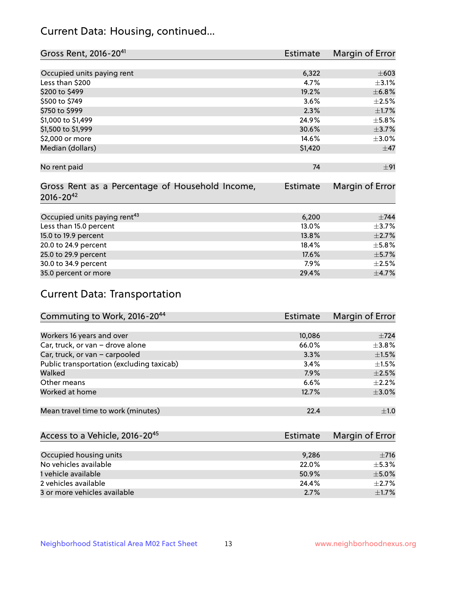# Current Data: Housing, continued...

| Gross Rent, 2016-20 <sup>41</sup>               | <b>Estimate</b> | Margin of Error |
|-------------------------------------------------|-----------------|-----------------|
|                                                 |                 |                 |
| Occupied units paying rent                      | 6,322           | $\pm 603$       |
| Less than \$200                                 | 4.7%            | $\pm$ 3.1%      |
| \$200 to \$499                                  | 19.2%           | ±6.8%           |
| \$500 to \$749                                  | 3.6%            | $\pm 2.5\%$     |
| \$750 to \$999                                  | 2.3%            | $\pm 1.7\%$     |
| \$1,000 to \$1,499                              | 24.9%           | $\pm$ 5.8%      |
| \$1,500 to \$1,999                              | 30.6%           | $\pm$ 3.7%      |
| \$2,000 or more                                 | 14.6%           | $\pm 3.0\%$     |
| Median (dollars)                                | \$1,420         | $\pm$ 47        |
|                                                 |                 |                 |
| No rent paid                                    | 74              | ±91             |
|                                                 |                 |                 |
| Gross Rent as a Percentage of Household Income, | <b>Estimate</b> | Margin of Error |
| $2016 - 20^{42}$                                |                 |                 |
|                                                 |                 |                 |
| Occupied units paying rent <sup>43</sup>        | 6,200           | $\pm$ 744       |
| Less than 15.0 percent                          | 13.0%           | $\pm$ 3.7%      |
| 15.0 to 19.9 percent                            | 13.8%           | $\pm 2.7\%$     |
| 20.0 to 24.9 percent                            | 18.4%           | $\pm$ 5.8%      |
| 25.0 to 29.9 percent                            | 17.6%           | $\pm$ 5.7%      |
| 30.0 to 34.9 percent                            | 7.9%            | $\pm 2.5\%$     |
| 35.0 percent or more                            | 29.4%           | $\pm$ 4.7%      |

# Current Data: Transportation

| Commuting to Work, 2016-20 <sup>44</sup>  | Estimate | <b>Margin of Error</b> |
|-------------------------------------------|----------|------------------------|
|                                           |          |                        |
| Workers 16 years and over                 | 10,086   | $\pm 724$              |
| Car, truck, or van - drove alone          | 66.0%    | $\pm$ 3.8%             |
| Car, truck, or van - carpooled            | 3.3%     | $\pm 1.5\%$            |
| Public transportation (excluding taxicab) | 3.4%     | $\pm 1.5\%$            |
| Walked                                    | 7.9%     | $\pm 2.5\%$            |
| Other means                               | 6.6%     | $\pm 2.2\%$            |
| Worked at home                            | 12.7%    | $\pm$ 3.0%             |
|                                           |          |                        |
| Mean travel time to work (minutes)        | 22.4     | $\pm 1.0$              |

| Access to a Vehicle, 2016-20 <sup>45</sup> | Estimate | Margin of Error |
|--------------------------------------------|----------|-----------------|
|                                            |          |                 |
| Occupied housing units                     | 9.286    | $\pm$ 716       |
| No vehicles available                      | 22.0%    | $+5.3%$         |
| 1 vehicle available                        | 50.9%    | $\pm$ 5.0%      |
| 2 vehicles available                       | 24.4%    | $+2.7%$         |
| 3 or more vehicles available               | 2.7%     | $\pm$ 1.7%      |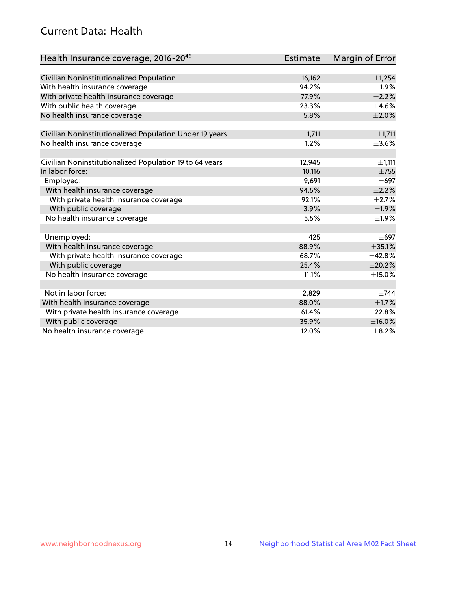# Current Data: Health

| Health Insurance coverage, 2016-2046                    | <b>Estimate</b> | Margin of Error |
|---------------------------------------------------------|-----------------|-----------------|
|                                                         |                 |                 |
| Civilian Noninstitutionalized Population                | 16,162          | ±1,254          |
| With health insurance coverage                          | 94.2%           | $\pm 1.9\%$     |
| With private health insurance coverage                  | 77.9%           | $\pm 2.2\%$     |
| With public health coverage                             | 23.3%           | $\pm$ 4.6%      |
| No health insurance coverage                            | 5.8%            | $\pm 2.0\%$     |
| Civilian Noninstitutionalized Population Under 19 years | 1,711           | ±1,711          |
| No health insurance coverage                            | 1.2%            | $\pm 3.6\%$     |
|                                                         |                 |                 |
| Civilian Noninstitutionalized Population 19 to 64 years | 12,945          | ±1,111          |
| In labor force:                                         | 10,116          | $\pm 755$       |
| Employed:                                               | 9,691           | $\pm 697$       |
| With health insurance coverage                          | 94.5%           | $\pm 2.2\%$     |
| With private health insurance coverage                  | 92.1%           | $\pm 2.7\%$     |
| With public coverage                                    | 3.9%            | $\pm$ 1.9%      |
| No health insurance coverage                            | 5.5%            | ±1.9%           |
|                                                         |                 |                 |
| Unemployed:                                             | 425             | $\pm 697$       |
| With health insurance coverage                          | 88.9%           | ±35.1%          |
| With private health insurance coverage                  | 68.7%           | ±42.8%          |
| With public coverage                                    | 25.4%           | ±20.2%          |
| No health insurance coverage                            | 11.1%           | $\pm$ 15.0%     |
|                                                         |                 |                 |
| Not in labor force:                                     | 2,829           | $\pm 744$       |
| With health insurance coverage                          | 88.0%           | $\pm 1.7\%$     |
| With private health insurance coverage                  | 61.4%           | ±22.8%          |
| With public coverage                                    | 35.9%           | $\pm$ 16.0%     |
| No health insurance coverage                            | 12.0%           | $\pm$ 8.2%      |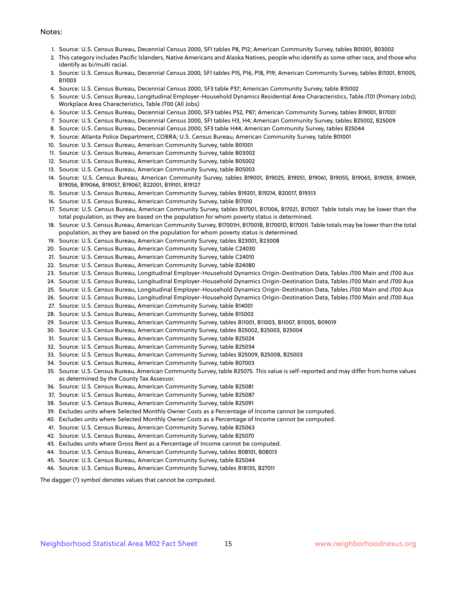#### Notes:

- 1. Source: U.S. Census Bureau, Decennial Census 2000, SF1 tables P8, P12; American Community Survey, tables B01001, B03002
- 2. This category includes Pacific Islanders, Native Americans and Alaska Natives, people who identify as some other race, and those who identify as bi/multi racial.
- 3. Source: U.S. Census Bureau, Decennial Census 2000, SF1 tables P15, P16, P18, P19; American Community Survey, tables B11001, B11005, B11003
- 4. Source: U.S. Census Bureau, Decennial Census 2000, SF3 table P37; American Community Survey, table B15002
- 5. Source: U.S. Census Bureau, Longitudinal Employer-Household Dynamics Residential Area Characteristics, Table JT01 (Primary Jobs); Workplace Area Characteristics, Table JT00 (All Jobs)
- 6. Source: U.S. Census Bureau, Decennial Census 2000, SF3 tables P52, P87; American Community Survey, tables B19001, B17001
- 7. Source: U.S. Census Bureau, Decennial Census 2000, SF1 tables H3, H4; American Community Survey, tables B25002, B25009
- 8. Source: U.S. Census Bureau, Decennial Census 2000, SF3 table H44; American Community Survey, tables B25044
- 9. Source: Atlanta Police Department, COBRA; U.S. Census Bureau, American Community Survey, table B01001
- 10. Source: U.S. Census Bureau, American Community Survey, table B01001
- 11. Source: U.S. Census Bureau, American Community Survey, table B03002
- 12. Source: U.S. Census Bureau, American Community Survey, table B05002
- 13. Source: U.S. Census Bureau, American Community Survey, table B05003
- 14. Source: U.S. Census Bureau, American Community Survey, tables B19001, B19025, B19051, B19061, B19055, B19065, B19059, B19069, B19056, B19066, B19057, B19067, B22001, B19101, B19127
- 15. Source: U.S. Census Bureau, American Community Survey, tables B19201, B19214, B20017, B19313
- 16. Source: U.S. Census Bureau, American Community Survey, table B17010
- 17. Source: U.S. Census Bureau, American Community Survey, tables B17001, B17006, B17021, B17007. Table totals may be lower than the total population, as they are based on the population for whom poverty status is determined.
- 18. Source: U.S. Census Bureau, American Community Survey, B17001H, B17001B, B17001D, B17001I. Table totals may be lower than the total population, as they are based on the population for whom poverty status is determined.
- 19. Source: U.S. Census Bureau, American Community Survey, tables B23001, B23008
- 20. Source: U.S. Census Bureau, American Community Survey, table C24030
- 21. Source: U.S. Census Bureau, American Community Survey, table C24010
- 22. Source: U.S. Census Bureau, American Community Survey, table B24080
- 23. Source: U.S. Census Bureau, Longitudinal Employer-Household Dynamics Origin-Destination Data, Tables JT00 Main and JT00 Aux
- 24. Source: U.S. Census Bureau, Longitudinal Employer-Household Dynamics Origin-Destination Data, Tables JT00 Main and JT00 Aux
- 25. Source: U.S. Census Bureau, Longitudinal Employer-Household Dynamics Origin-Destination Data, Tables JT00 Main and JT00 Aux
- 26. Source: U.S. Census Bureau, Longitudinal Employer-Household Dynamics Origin-Destination Data, Tables JT00 Main and JT00 Aux
- 27. Source: U.S. Census Bureau, American Community Survey, table B14001
- 28. Source: U.S. Census Bureau, American Community Survey, table B15002
- 29. Source: U.S. Census Bureau, American Community Survey, tables B11001, B11003, B11007, B11005, B09019
- 30. Source: U.S. Census Bureau, American Community Survey, tables B25002, B25003, B25004
- 31. Source: U.S. Census Bureau, American Community Survey, table B25024
- 32. Source: U.S. Census Bureau, American Community Survey, table B25034
- 33. Source: U.S. Census Bureau, American Community Survey, tables B25009, B25008, B25003
- 34. Source: U.S. Census Bureau, American Community Survey, table B07003
- 35. Source: U.S. Census Bureau, American Community Survey, table B25075. This value is self-reported and may differ from home values as determined by the County Tax Assessor.
- 36. Source: U.S. Census Bureau, American Community Survey, table B25081
- 37. Source: U.S. Census Bureau, American Community Survey, table B25087
- 38. Source: U.S. Census Bureau, American Community Survey, table B25091
- 39. Excludes units where Selected Monthly Owner Costs as a Percentage of Income cannot be computed.
- 40. Excludes units where Selected Monthly Owner Costs as a Percentage of Income cannot be computed.
- 41. Source: U.S. Census Bureau, American Community Survey, table B25063
- 42. Source: U.S. Census Bureau, American Community Survey, table B25070
- 43. Excludes units where Gross Rent as a Percentage of Income cannot be computed.
- 44. Source: U.S. Census Bureau, American Community Survey, tables B08101, B08013
- 45. Source: U.S. Census Bureau, American Community Survey, table B25044
- 46. Source: U.S. Census Bureau, American Community Survey, tables B18135, B27011

The dagger (†) symbol denotes values that cannot be computed.